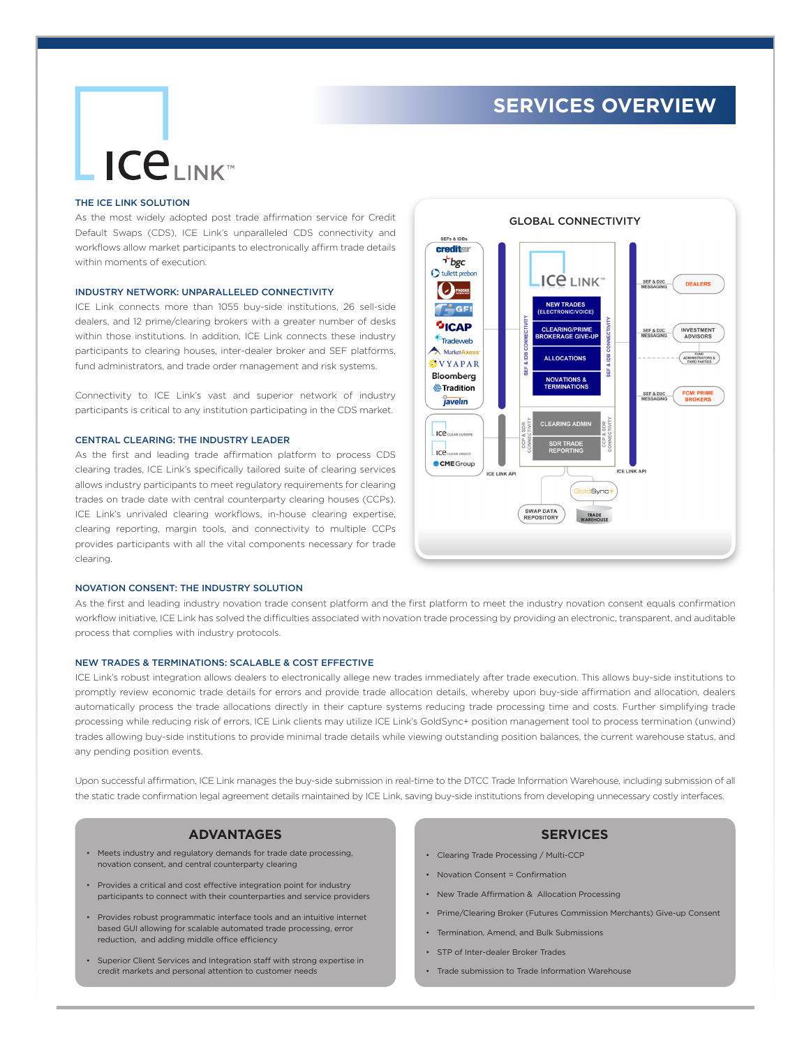## **SERVICES OVERVIEW**

# **ICELINK**

#### THE ICE LINK SOLUTION

As the most widely adopted post trade affirmation service for Credit Default Swaps (CDS), ICE Link's unparalleled CDS connectivity and workflows allow market participants to electronically affirm trade details within moments of execution.

#### INDUSTRY NETWORK: UNPARALLELED CONNECTIVITY

ICE Link connects more than 1055 buy-side institutions, 26 sell-side dealers, and 12 prime/clearing brokers with a greater number of desks within those institutions. In addition, ICE Link connects these industry participants to clearing houses, inter-dealer broker and SEF platforms, fund administrators, and trade order management and risk systems.

Connectivity to ICE Link's vast and superior network of industry participants is critical to any institution participating in the CDS market.

#### CENTRAL CLEARING: THE INDUSTRY LEADER

As the first and leading trade affirmation platform to process CDS clearing trades, ICE Link's specifically tailored suite of clearing services allows industry participants to meet regulatory requirements for clearing trades on trade date with central counterparty clearing houses (CCPs). ICE Link's unrivaled clearing workflows, in-house clearing expertise, clearing reporting, margin tools, and connectivity to multiple CCPs provides participants with all the vital components necessary for trade clearing.



#### NOVATION CONSENT: THE INDUSTRY SOLUTION

As the first and leading industry novation trade consent platform and the first platform to meet the industry novation consent equals confirmation workflow initiative, ICE Link has solved the difficulties associated with novation trade processing by providing an electronic, transparent, and auditable process that complies with industry protocols.

#### NEW TRADES & TERMINATIONS: SCALABLE & COST EFFECTIVE

ICE Link's robust integration allows dealers to electronically allege new trades immediately after trade execution. This allows buy-side institutions to promptly review economic trade details for errors and provide trade allocation details, whereby upon buy-side affirmation and allocation, dealers automatically process the trade allocations directly in their capture systems reducing trade processing time and costs. Further simplifying trade processing while reducing risk of errors, ICE Link clients may utilize ICE Link's GoldSync+ position management tool to process termination (unwind) trades allowing buy-side institutions to provide minimal trade details while viewing outstanding position balances, the current warehouse status, and any pending position events.

Upon successful affirmation, ICE Link manages the buy-side submission in real-time to the DTCC Trade Information Warehouse, including submission of all the static trade confirmation legal agreement details maintained by ICE Link, saving buy-side institutions from developing unnecessary costly interfaces.

#### **ADVANTAGES**

- Meets industry and regulatory demands for trade date processing, novation consent, and central counterparty clearing
- Provides a critical and cost effective integration point for industry participants to connect with their counterparties and service providers
- Provides robust programmatic interface tools and an intuitive internet based GUI allowing for scalable automated trade processing, error reduction, and adding middle office efficiency
- Superior Client Services and Integration staff with strong expertise in credit markets and personal attention to customer needs

#### **SERVICES**

- Clearing Trade Processing / Multi-CCP
- Novation Consent = Confirmation
- New Trade Affirmation & Allocation Processing
- Prime/Clearing Broker (Futures Commission Merchants) Give-up Consent
- Termination, Amend, and Bulk Submissions
- STP of Inter-dealer Broker Trades
- Trade submission to Trade Information Warehouse